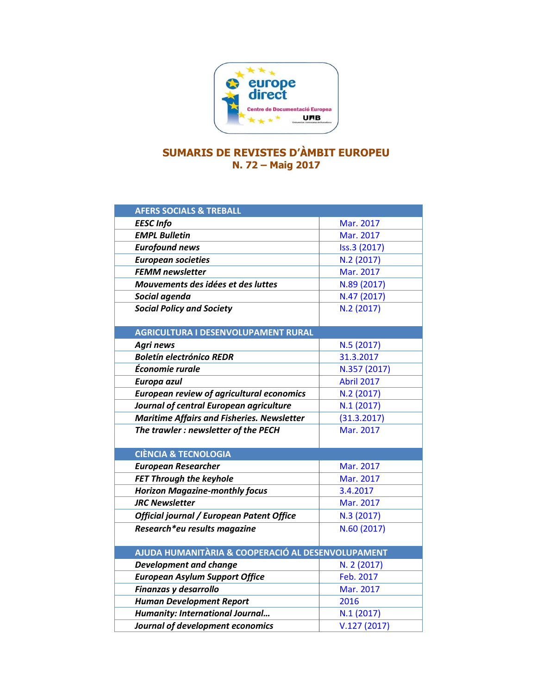

## **SUMARIS DE REVISTES D'ÀMBIT EUROPEU N. 72 – Maig 2017**

| <b>AFERS SOCIALS &amp; TREBALL</b>                |                   |
|---------------------------------------------------|-------------------|
| <b>EESC</b> Info                                  | Mar. 2017         |
| <b>EMPL Bulletin</b>                              | Mar. 2017         |
| <b>Eurofound news</b>                             | Iss.3 (2017)      |
| <b>European societies</b>                         | N.2 (2017)        |
| <b>FEMM newsletter</b>                            | Mar. 2017         |
| Mouvements des idées et des luttes                | N.89 (2017)       |
| Social agenda                                     | N.47 (2017)       |
| <b>Social Policy and Society</b>                  | N.2 (2017)        |
|                                                   |                   |
| <b>AGRICULTURA I DESENVOLUPAMENT RURAL</b>        |                   |
| <b>Agri news</b>                                  | N.5 (2017)        |
| <b>Boletín electrónico REDR</b>                   | 31.3.2017         |
| Économie rurale                                   | N.357 (2017)      |
| Europa azul                                       | <b>Abril 2017</b> |
| <b>European review of agricultural economics</b>  | N.2(2017)         |
| Journal of central European agriculture           | N.1(2017)         |
| <b>Maritime Affairs and Fisheries. Newsletter</b> | (31.3.2017)       |
| The trawler : newsletter of the PECH              | Mar. 2017         |
|                                                   |                   |
| <b>CIÈNCIA &amp; TECNOLOGIA</b>                   |                   |
| <b>European Researcher</b>                        | Mar. 2017         |
| <b>FET Through the keyhole</b>                    | Mar. 2017         |
| <b>Horizon Magazine-monthly focus</b>             | 3.4.2017          |
| <b>JRC Newsletter</b>                             | Mar. 2017         |
| Official journal / European Patent Office         | N.3 (2017)        |
| Research*eu results magazine                      | N.60 (2017)       |
| AJUDA HUMANITÀRIA & COOPERACIÓ AL DESENVOLUPAMENT |                   |
| <b>Development and change</b>                     | N. 2 (2017)       |
| <b>European Asylum Support Office</b>             | Feb. 2017         |
| Finanzas y desarrollo                             | Mar. 2017         |
| <b>Human Development Report</b>                   | 2016              |
| <b>Humanity: International Journal</b>            | N.1(2017)         |
| Journal of development economics                  | V.127(2017)       |
|                                                   |                   |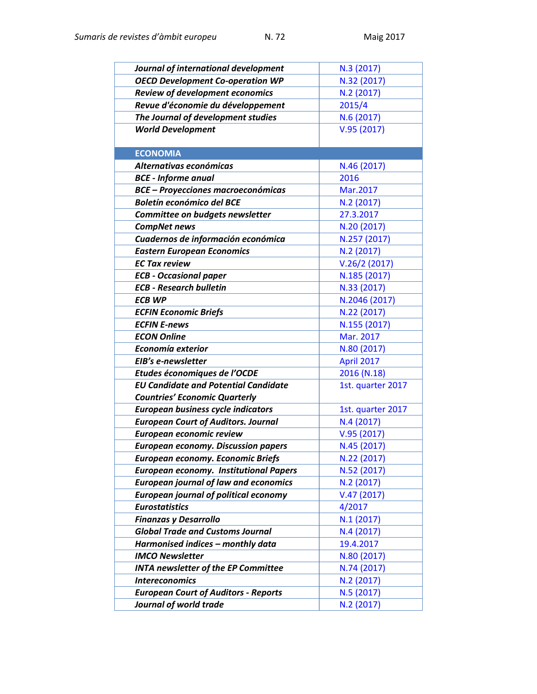| Journal of international development          | N.3 (2017)        |
|-----------------------------------------------|-------------------|
| <b>OECD Development Co-operation WP</b>       | N.32 (2017)       |
| <b>Review of development economics</b>        | N.2 (2017)        |
| Revue d'économie du développement             | 2015/4            |
| The Journal of development studies            | N.6(2017)         |
| <b>World Development</b>                      | V.95(2017)        |
|                                               |                   |
| <b>ECONOMIA</b>                               |                   |
| Alternativas económicas                       | N.46 (2017)       |
| <b>BCE</b> - Informe anual                    | 2016              |
| <b>BCE - Proyecciones macroeconómicas</b>     | Mar.2017          |
| <b>Boletín económico del BCE</b>              | N.2(2017)         |
| Committee on budgets newsletter               | 27.3.2017         |
| <b>CompNet news</b>                           | N.20 (2017)       |
| Cuadernos de información económica            | N.257 (2017)      |
| <b>Eastern European Economics</b>             | N.2(2017)         |
| <b>EC Tax review</b>                          | V.26/2(2017)      |
| <b>ECB - Occasional paper</b>                 | N.185 (2017)      |
| <b>ECB - Research bulletin</b>                | N.33 (2017)       |
| <b>ECB WP</b>                                 | N.2046 (2017)     |
| <b>ECFIN Economic Briefs</b>                  | N.22 (2017)       |
| <b>ECFIN E-news</b>                           | N.155 (2017)      |
| <b>ECON Online</b>                            | Mar. 2017         |
| Economía exterior                             | N.80 (2017)       |
| EIB's e-newsletter                            | April 2017        |
| Etudes économiques de l'OCDE                  | 2016 (N.18)       |
| <b>EU Candidate and Potential Candidate</b>   | 1st. quarter 2017 |
| <b>Countries' Economic Quarterly</b>          |                   |
| <b>European business cycle indicators</b>     | 1st. quarter 2017 |
| <b>European Court of Auditors. Journal</b>    | N.4 (2017)        |
| European economic review                      | V.95(2017)        |
| <b>European economy. Discussion papers</b>    | N.45 (2017)       |
| <b>European economy. Economic Briefs</b>      | N.22 (2017)       |
| <b>European economy. Institutional Papers</b> | N.52 (2017)       |
| <b>European journal of law and economics</b>  | N.2 (2017)        |
| <b>European journal of political economy</b>  | V.47(2017)        |
| <b>Eurostatistics</b>                         | 4/2017            |
| <b>Finanzas y Desarrollo</b>                  | N.1(2017)         |
| <b>Global Trade and Customs Journal</b>       | N.4 (2017)        |
| Harmonised indices - monthly data             | 19.4.2017         |
| <b>IMCO Newsletter</b>                        | N.80 (2017)       |
| <b>INTA newsletter of the EP Committee</b>    | N.74 (2017)       |
| <b>Intereconomics</b>                         | N.2(2017)         |
| <b>European Court of Auditors - Reports</b>   | N.5 (2017)        |
| Journal of world trade                        | N.2 (2017)        |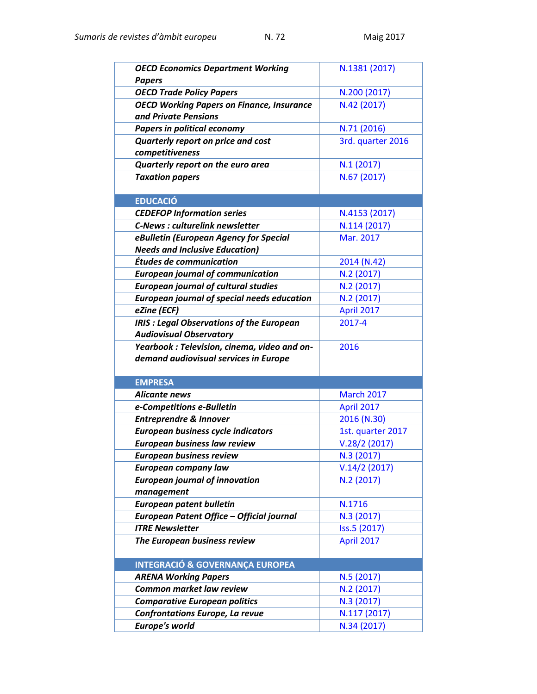| <b>OECD Economics Department Working</b><br><b>Papers</b>                                         | N.1381 (2017)            |
|---------------------------------------------------------------------------------------------------|--------------------------|
| <b>OECD Trade Policy Papers</b>                                                                   | N.200 (2017)             |
| <b>OECD Working Papers on Finance, Insurance</b>                                                  | N.42 (2017)              |
| and Private Pensions                                                                              |                          |
| <b>Papers in political economy</b>                                                                | N.71 (2016)              |
| Quarterly report on price and cost                                                                | 3rd. quarter 2016        |
| competitiveness                                                                                   |                          |
| Quarterly report on the euro area                                                                 | N.1(2017)                |
| <b>Taxation papers</b>                                                                            | N.67 (2017)              |
|                                                                                                   |                          |
| <b>EDUCACIÓ</b>                                                                                   |                          |
| <b>CEDEFOP Information series</b>                                                                 | N.4153 (2017)            |
| <b>C-News: culturelink newsletter</b>                                                             | N.114 (2017)             |
| eBulletin (European Agency for Special                                                            | Mar. 2017                |
| <b>Needs and Inclusive Education)</b>                                                             |                          |
| Études de communication                                                                           | 2014 (N.42)              |
| <b>European journal of communication</b>                                                          | N.2 (2017)<br>N.2 (2017) |
| <b>European journal of cultural studies</b><br><b>European journal of special needs education</b> | N.2 (2017)               |
| eZine (ECF)                                                                                       | April 2017               |
| <b>IRIS : Legal Observations of the European</b>                                                  | 2017-4                   |
| <b>Audiovisual Observatory</b>                                                                    |                          |
| Yearbook: Television, cinema, video and on-                                                       | 2016                     |
|                                                                                                   |                          |
|                                                                                                   |                          |
| demand audiovisual services in Europe                                                             |                          |
| <b>EMPRESA</b>                                                                                    |                          |
| <b>Alicante news</b>                                                                              | <b>March 2017</b>        |
| e-Competitions e-Bulletin                                                                         | April 2017               |
| <b>Entreprendre &amp; Innover</b>                                                                 | 2016 (N.30)              |
| <b>European business cycle indicators</b>                                                         | 1st. quarter 2017        |
| <b>European business law review</b>                                                               | V.28/2(2017)             |
| <b>European business review</b>                                                                   | N.3 (2017)               |
| European company law                                                                              | V.14/2(2017)             |
| <b>European journal of innovation</b>                                                             | N.2 (2017)               |
| management                                                                                        |                          |
| <b>European patent bulletin</b>                                                                   | N.1716                   |
| European Patent Office - Official journal                                                         | N.3 (2017)               |
| <b>ITRE Newsletter</b>                                                                            | Iss.5 (2017)             |
| The European business review                                                                      | April 2017               |
|                                                                                                   |                          |
| <b>INTEGRACIÓ &amp; GOVERNANÇA EUROPEA</b><br><b>ARENA Working Papers</b>                         | N.5 (2017)               |
| Common market law review                                                                          | N.2 (2017)               |
| <b>Comparative European politics</b>                                                              | N.3 (2017)               |
| Confrontations Europe, La revue                                                                   | N.117 (2017)             |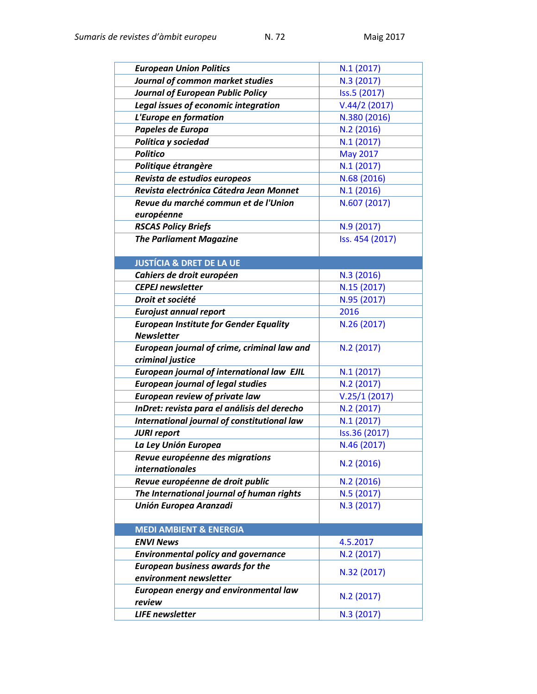| <b>European Union Politics</b>                         | N.1(2017)       |
|--------------------------------------------------------|-----------------|
| Journal of common market studies                       | N.3 (2017)      |
| <b>Journal of European Public Policy</b>               | Iss.5 (2017)    |
| Legal issues of economic integration                   | V.44/2(2017)    |
| L'Europe en formation                                  | N.380 (2016)    |
| Papeles de Europa                                      | N.2(2016)       |
| Política y sociedad                                    | N.1(2017)       |
| <b>Politico</b>                                        | May 2017        |
| Politique étrangère                                    | N.1(2017)       |
| Revista de estudios europeos                           | N.68 (2016)     |
| Revista electrónica Cátedra Jean Monnet                | N.1(2016)       |
| Revue du marché commun et de l'Union                   | N.607 (2017)    |
| européenne                                             |                 |
| <b>RSCAS Policy Briefs</b>                             | N.9 (2017)      |
| <b>The Parliament Magazine</b>                         | Iss. 454 (2017) |
|                                                        |                 |
| <b>JUSTÍCIA &amp; DRET DE LA UE</b>                    |                 |
| Cahiers de droit européen                              | N.3(2016)       |
| <b>CEPEJ</b> newsletter                                | N.15 (2017)     |
| Droit et société                                       | N.95 (2017)     |
| <b>Eurojust annual report</b>                          | 2016            |
| <b>European Institute for Gender Equality</b>          | N.26 (2017)     |
| <b>Newsletter</b>                                      |                 |
| European journal of crime, criminal law and            | N.2 (2017)      |
| criminal justice                                       |                 |
| European journal of international law EJIL             | N.1(2017)       |
| <b>European journal of legal studies</b>               | N.2 (2017)      |
| <b>European review of private law</b>                  | V.25/1(2017)    |
| InDret: revista para el análisis del derecho           | N.2 (2017)      |
| International journal of constitutional law            | N.1(2017)       |
| <b>JURI report</b>                                     | Iss.36 (2017)   |
| La Ley Unión Europea                                   | N.46 (2017)     |
| Revue européenne des migrations                        | N.2 (2016)      |
| <i>internationales</i>                                 |                 |
| Revue européenne de droit public                       | N.2 (2016)      |
| The International journal of human rights              | N.5 (2017)      |
| <b>Unión Europea Aranzadi</b>                          | N.3 (2017)      |
|                                                        |                 |
| <b>MEDI AMBIENT &amp; ENERGIA</b>                      |                 |
| <b>ENVI News</b>                                       | 4.5.2017        |
| <b>Environmental policy and governance</b>             | N.2 (2017)      |
| <b>European business awards for the</b>                | N.32 (2017)     |
| environment newsletter                                 |                 |
| <b>European energy and environmental law</b><br>review | N.2 (2017)      |
| <b>LIFE newsletter</b>                                 |                 |
|                                                        | N.3 (2017)      |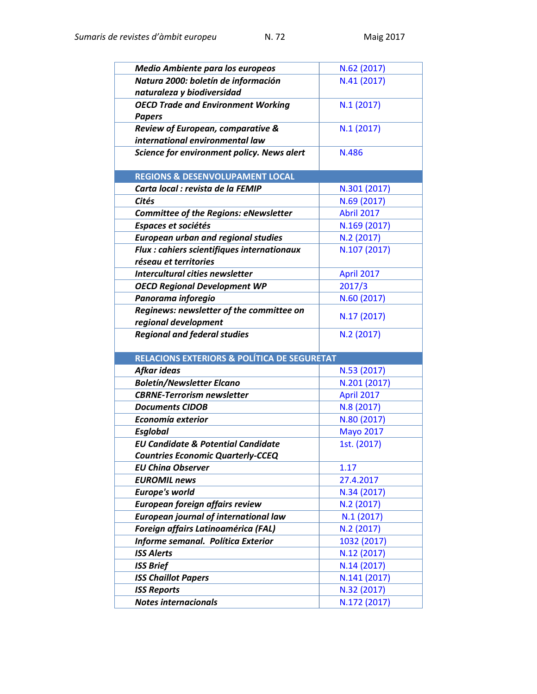| <b>Medio Ambiente para los europeos</b>                | N.62 (2017)                 |
|--------------------------------------------------------|-----------------------------|
| Natura 2000: boletín de información                    | N.41 (2017)                 |
| naturaleza y biodiversidad                             |                             |
| <b>OECD Trade and Environment Working</b>              | N.1(2017)                   |
| <b>Papers</b>                                          |                             |
| Review of European, comparative &                      | N.1(2017)                   |
| international environmental law                        |                             |
| Science for environment policy. News alert             | N.486                       |
|                                                        |                             |
| <b>REGIONS &amp; DESENVOLUPAMENT LOCAL</b>             |                             |
| Carta local : revista de la FEMIP                      | N.301 (2017)                |
| <b>Cités</b>                                           | N.69 (2017)                 |
| <b>Committee of the Regions: eNewsletter</b>           | <b>Abril 2017</b>           |
| Espaces et sociétés                                    | N.169 (2017)                |
| <b>European urban and regional studies</b>             | N.2 (2017)                  |
| Flux : cahiers scientifiques internationaux            | N.107 (2017)                |
| réseau et territories                                  |                             |
| <b>Intercultural cities newsletter</b>                 | April 2017                  |
| <b>OECD Regional Development WP</b>                    | 2017/3                      |
| Panorama inforegio                                     | N.60 (2017)                 |
| Reginews: newsletter of the committee on               | N.17 (2017)                 |
| regional development                                   |                             |
| <b>Regional and federal studies</b>                    | N.2 (2017)                  |
|                                                        |                             |
| <b>RELACIONS EXTERIORS &amp; POLÍTICA DE SEGURETAT</b> |                             |
| Afkar ideas                                            | N.53 (2017)                 |
| <b>Boletín/Newsletter Elcano</b>                       | N.201 (2017)                |
| <b>CBRNE-Terrorism newsletter</b>                      | April 2017                  |
| <b>Documents CIDOB</b>                                 | N.8 (2017)                  |
| Economía exterior                                      | N.80 (2017)                 |
| <b>Esglobal</b>                                        | <b>Mayo 2017</b>            |
| <b>EU Candidate &amp; Potential Candidate</b>          | 1st. (2017)                 |
| <b>Countries Economic Quarterly-CCEQ</b>               |                             |
| <b>EU China Observer</b>                               | 1.17                        |
| <b>EUROMIL news</b>                                    |                             |
|                                                        | 27.4.2017                   |
| <b>Europe's world</b>                                  | N.34 (2017)                 |
| European foreign affairs review                        | N.2 (2017)                  |
| <b>European journal of international law</b>           | N.1(2017)                   |
| Foreign affairs Latinoamérica (FAL)                    | N.2 (2017)                  |
| Informe semanal. Política Exterior                     | 1032 (2017)                 |
| <b>ISS Alerts</b>                                      | N.12 (2017)                 |
| <b>ISS Brief</b>                                       | N.14 (2017)                 |
| <b>ISS Chaillot Papers</b>                             | N.141 (2017)                |
| <b>ISS Reports</b><br><b>Notes internacionals</b>      | N.32 (2017)<br>N.172 (2017) |